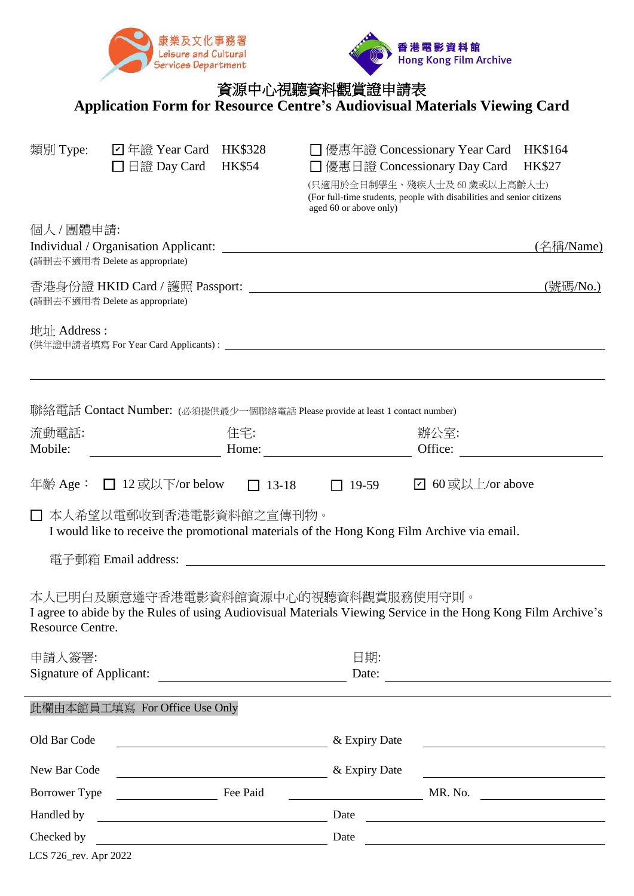



## 資源中心視聽資料觀賞證申請表

**Application Form for Resource Centre's Audiovisual Materials Viewing Card**

| 類別 Type:                       | $\Box$ 年證 Year Card<br>□ 日證 Day Card                                                                                                        | HK\$328<br><b>HK\$54</b> | □ 優惠日證 Concessionary Day Card<br>aged 60 or above only) | □ 優惠年證 Concessionary Year Card HK\$164<br><b>HK\$27</b><br>(只適用於全日制學生、殘疾人士及60歲或以上高齡人士)<br>(For full-time students, people with disabilities and senior citizens |
|--------------------------------|---------------------------------------------------------------------------------------------------------------------------------------------|--------------------------|---------------------------------------------------------|-----------------------------------------------------------------------------------------------------------------------------------------------------------------|
| 個人 / 團體申請:                     | (請删去不適用者 Delete as appropriate)                                                                                                             |                          |                                                         | (名稱/Name)                                                                                                                                                       |
|                                | (請删去不適用者 Delete as appropriate)                                                                                                             |                          |                                                         | (號碼/No.)                                                                                                                                                        |
| 地址 Address:                    |                                                                                                                                             |                          |                                                         |                                                                                                                                                                 |
|                                | 聯絡電話 Contact Number: (必須提供最少一個聯絡電話 Please provide at least 1 contact number)                                                                |                          |                                                         |                                                                                                                                                                 |
| 流動電話:                          |                                                                                                                                             | 住宅:                      |                                                         | 辦公室:                                                                                                                                                            |
| Mobile:                        |                                                                                                                                             |                          | Home: $\qquad \qquad$                                   | Office:                                                                                                                                                         |
|                                | □ 本人希望以電郵收到香港電影資料館之宣傳刊物。<br>I would like to receive the promotional materials of the Hong Kong Film Archive via email.                      |                          |                                                         |                                                                                                                                                                 |
| Resource Centre.               | 本人已明白及願意遵守香港電影資料館資源中心的視聽資料觀賞服務使用守則。                                                                                                         |                          |                                                         | I agree to abide by the Rules of using Audiovisual Materials Viewing Service in the Hong Kong Film Archive's                                                    |
| 申請人簽署:                         |                                                                                                                                             |                          | 日期:                                                     |                                                                                                                                                                 |
| <b>Signature of Applicant:</b> |                                                                                                                                             |                          | Date:                                                   |                                                                                                                                                                 |
|                                | 此欄由本館員工填寫 For Office Use Only                                                                                                               |                          |                                                         |                                                                                                                                                                 |
| Old Bar Code                   |                                                                                                                                             |                          | & Expiry Date                                           | <u> 1989 - Johann Stein, mars an de France</u>                                                                                                                  |
| New Bar Code                   | <u> 1989 - Johann Stoff, fransk politik (d. 1989)</u>                                                                                       |                          | & Expiry Date                                           | <u> 1980 - Johann Barbara, martin amerikan basar da</u>                                                                                                         |
| Borrower Type                  | $\frac{1}{2}$ and $\frac{1}{2}$ and $\frac{1}{2}$ and $\frac{1}{2}$ and $\frac{1}{2}$ and $\frac{1}{2}$ and $\frac{1}{2}$ and $\frac{1}{2}$ | Fee Paid                 |                                                         | MR. No.<br><u> 1990 - John Stein, mars and de Brande</u>                                                                                                        |
| Handled by                     |                                                                                                                                             |                          | Date                                                    |                                                                                                                                                                 |
| Checked by                     |                                                                                                                                             |                          | Date                                                    |                                                                                                                                                                 |
| LCS 726_rev. Apr 2022          |                                                                                                                                             |                          |                                                         |                                                                                                                                                                 |